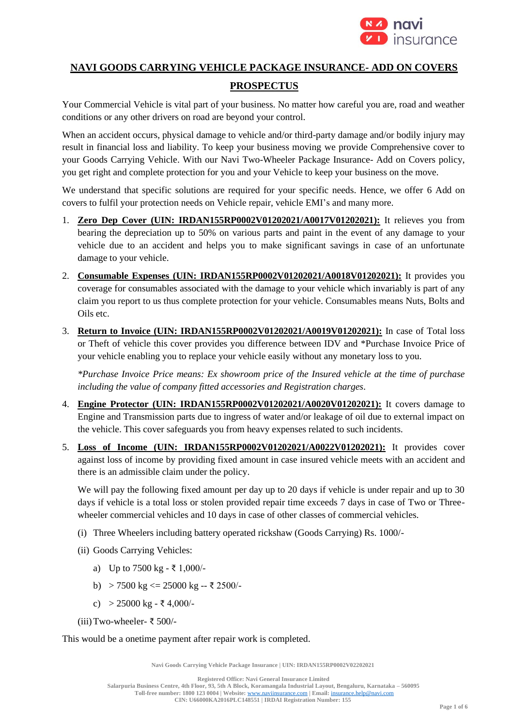

# **NAVI GOODS CARRYING VEHICLE PACKAGE INSURANCE- ADD ON COVERS**

# **PROSPECTUS**

Your Commercial Vehicle is vital part of your business. No matter how careful you are, road and weather conditions or any other drivers on road are beyond your control.

When an accident occurs, physical damage to vehicle and/or third-party damage and/or bodily injury may result in financial loss and liability. To keep your business moving we provide Comprehensive cover to your Goods Carrying Vehicle. With our Navi Two-Wheeler Package Insurance- Add on Covers policy, you get right and complete protection for you and your Vehicle to keep your business on the move.

We understand that specific solutions are required for your specific needs. Hence, we offer 6 Add on covers to fulfil your protection needs on Vehicle repair, vehicle EMI's and many more.

- 1. **Zero Dep Cover (UIN: IRDAN155RP0002V01202021/A0017V01202021):** It relieves you from bearing the depreciation up to 50% on various parts and paint in the event of any damage to your vehicle due to an accident and helps you to make significant savings in case of an unfortunate damage to your vehicle.
- 2. **Consumable Expenses (UIN: IRDAN155RP0002V01202021/A0018V01202021):** It provides you coverage for consumables associated with the damage to your vehicle which invariably is part of any claim you report to us thus complete protection for your vehicle. Consumables means Nuts, Bolts and Oils etc.
- 3. **Return to Invoice (UIN: IRDAN155RP0002V01202021/A0019V01202021):** In case of Total loss or Theft of vehicle this cover provides you difference between IDV and \*Purchase Invoice Price of your vehicle enabling you to replace your vehicle easily without any monetary loss to you.

*\*Purchase Invoice Price means: Ex showroom price of the Insured vehicle at the time of purchase including the value of company fitted accessories and Registration charges*.

- 4. **Engine Protector (UIN: IRDAN155RP0002V01202021/A0020V01202021):** It covers damage to Engine and Transmission parts due to ingress of water and/or leakage of oil due to external impact on the vehicle. This cover safeguards you from heavy expenses related to such incidents.
- 5. **Loss of Income (UIN: IRDAN155RP0002V01202021/A0022V01202021):** It provides cover against loss of income by providing fixed amount in case insured vehicle meets with an accident and there is an admissible claim under the policy.

We will pay the following fixed amount per day up to 20 days if vehicle is under repair and up to 30 days if vehicle is a total loss or stolen provided repair time exceeds 7 days in case of Two or Threewheeler commercial vehicles and 10 days in case of other classes of commercial vehicles.

- (i) Three Wheelers including battery operated rickshaw (Goods Carrying) Rs. 1000/-
- (ii) Goods Carrying Vehicles:
	- a) Up to 7500 kg ₹ 1,000/-
	- b) > 7500 kg <= 25000 kg -- ₹ 2500/-
	- c) > 25000 kg ₹ 4,000/-
- (iii)Two-wheeler- ₹ 500/-

This would be a onetime payment after repair work is completed.

**Navi Goods Carrying Vehicle Package Insurance | UIN: IRDAN155RP0002V02202021**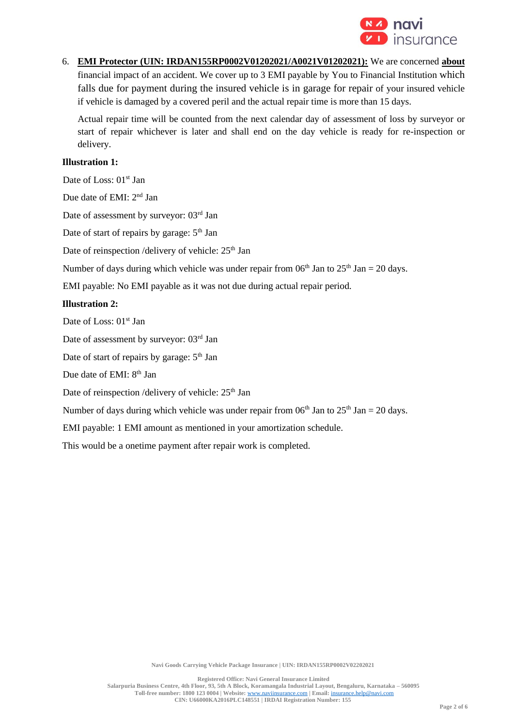

6. **EMI Protector (UIN: IRDAN155RP0002V01202021/A0021V01202021):** We are concerned **about** financial impact of an accident. We cover up to 3 EMI payable by You to Financial Institution which falls due for payment during the insured vehicle is in garage for repair of your insured vehicle if vehicle is damaged by a covered peril and the actual repair time is more than 15 days.

Actual repair time will be counted from the next calendar day of assessment of loss by surveyor or start of repair whichever is later and shall end on the day vehicle is ready for re-inspection or delivery.

#### **Illustration 1:**

Date of Loss: 01<sup>st</sup> Jan

Due date of EMI: 2<sup>nd</sup> Jan

Date of assessment by surveyor: 03<sup>rd</sup> Jan

Date of start of repairs by garage:  $5<sup>th</sup>$  Jan

Date of reinspection /delivery of vehicle: 25<sup>th</sup> Jan

Number of days during which vehicle was under repair from  $06<sup>th</sup>$  Jan to  $25<sup>th</sup>$  Jan = 20 days.

EMI payable: No EMI payable as it was not due during actual repair period.

#### **Illustration 2:**

Date of Loss: 01<sup>st</sup> Jan

Date of assessment by surveyor: 03<sup>rd</sup> Jan

Date of start of repairs by garage:  $5<sup>th</sup>$  Jan

Due date of EMI:  $8<sup>th</sup>$  Jan

Date of reinspection /delivery of vehicle: 25<sup>th</sup> Jan

Number of days during which vehicle was under repair from  $06<sup>th</sup>$  Jan to  $25<sup>th</sup>$  Jan = 20 days.

EMI payable: 1 EMI amount as mentioned in your amortization schedule.

This would be a onetime payment after repair work is completed.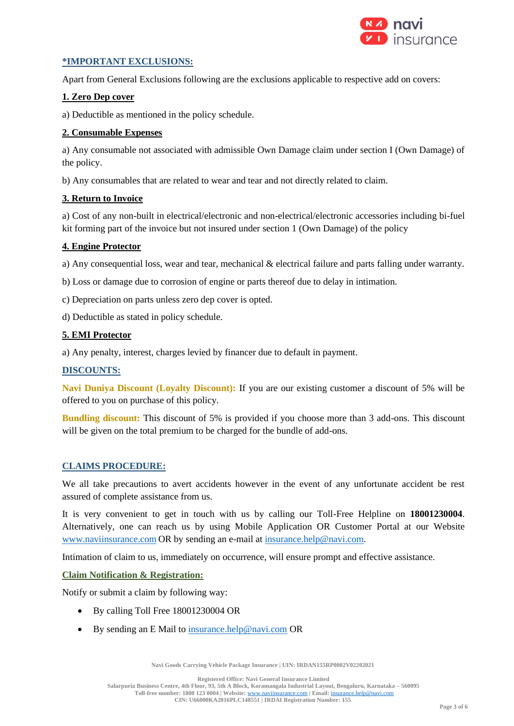

# **\*IMPORTANT EXCLUSIONS:**

Apart from General Exclusions following are the exclusions applicable to respective add on covers:

### **1. Zero Dep cover**

a) Deductible as mentioned in the policy schedule.

### **2. Consumable Expenses**

a) Any consumable not associated with admissible Own Damage claim under section I (Own Damage) of the policy.

b) Any consumables that are related to wear and tear and not directly related to claim.

### **3. Return to Invoice**

a) Cost of any non-built in electrical/electronic and non-electrical/electronic accessories including bi-fuel kit forming part of the invoice but not insured under section 1 (Own Damage) of the policy

### **4. Engine Protector**

a) Any consequential loss, wear and tear, mechanical & electrical failure and parts falling under warranty.

b) Loss or damage due to corrosion of engine or parts thereof due to delay in intimation.

- c) Depreciation on parts unless zero dep cover is opted.
- d) Deductible as stated in policy schedule.

## **5. EMI Protector**

a) Any penalty, interest, charges levied by financer due to default in payment.

#### **DISCOUNTS:**

**Navi Duniya Discount (Loyalty Discount):** If you are our existing customer a discount of 5% will be offered to you on purchase of this policy.

**Bundling discount:** This discount of 5% is provided if you choose more than 3 add-ons. This discount will be given on the total premium to be charged for the bundle of add-ons.

#### **CLAIMS PROCEDURE:**

We all take precautions to avert accidents however in the event of any unfortunate accident be rest assured of complete assistance from us.

It is very convenient to get in touch with us by calling our Toll-Free Helpline on **18001230004**. Alternatively, one can reach us by using Mobile Application OR Customer Portal at our Website www.naviinsurance.com OR by sending an e-mail at [insurance.help@navi.com.](mailto:insurance.help@navi.com)

Intimation of claim to us, immediately on occurrence, will ensure prompt and effective assistance.

#### **Claim Notification & Registration:**

Notify or submit a claim by following way:

- By calling Toll Free 18001230004 OR
- By sending an E Mail to [insurance.help@navi.com](mailto:insurance.help@navi.com) OR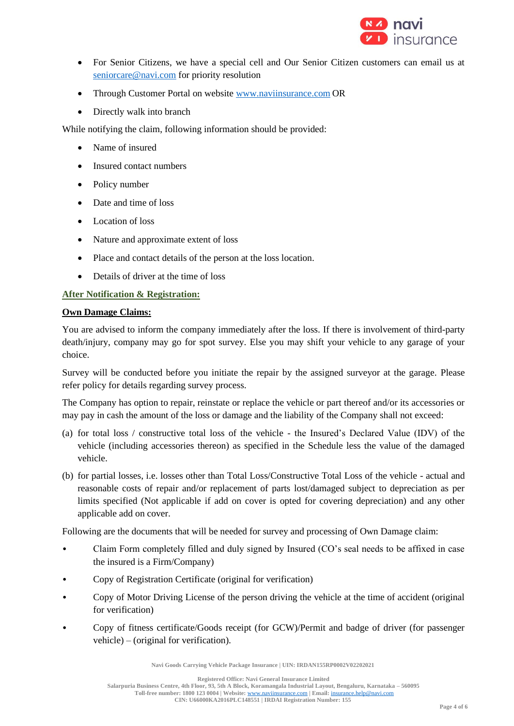

- For Senior Citizens, we have a special cell and Our Senior Citizen customers can email us at [seniorcare@navi.com](mailto:seniorcare@navi.com) for priority resolution
- Through Customer Portal on website www.naviinsurance.com OR
- Directly walk into branch

While notifying the claim, following information should be provided:

- Name of insured
- Insured contact numbers
- Policy number
- Date and time of loss
- Location of loss
- Nature and approximate extent of loss
- Place and contact details of the person at the loss location.
- Details of driver at the time of loss

## **After Notification & Registration:**

### **Own Damage Claims:**

You are advised to inform the company immediately after the loss. If there is involvement of third-party death/injury, company may go for spot survey. Else you may shift your vehicle to any garage of your choice.

Survey will be conducted before you initiate the repair by the assigned surveyor at the garage. Please refer policy for details regarding survey process.

The Company has option to repair, reinstate or replace the vehicle or part thereof and/or its accessories or may pay in cash the amount of the loss or damage and the liability of the Company shall not exceed:

- (a) for total loss / constructive total loss of the vehicle the Insured's Declared Value (IDV) of the vehicle (including accessories thereon) as specified in the Schedule less the value of the damaged vehicle.
- (b) for partial losses, i.e. losses other than Total Loss/Constructive Total Loss of the vehicle actual and reasonable costs of repair and/or replacement of parts lost/damaged subject to depreciation as per limits specified (Not applicable if add on cover is opted for covering depreciation) and any other applicable add on cover.

Following are the documents that will be needed for survey and processing of Own Damage claim:

- Claim Form completely filled and duly signed by Insured (CO's seal needs to be affixed in case the insured is a Firm/Company)
- Copy of Registration Certificate (original for verification)
- Copy of Motor Driving License of the person driving the vehicle at the time of accident (original for verification)
- Copy of fitness certificate/Goods receipt (for GCW)/Permit and badge of driver (for passenger vehicle) – (original for verification).

**Navi Goods Carrying Vehicle Package Insurance | UIN: IRDAN155RP0002V02202021**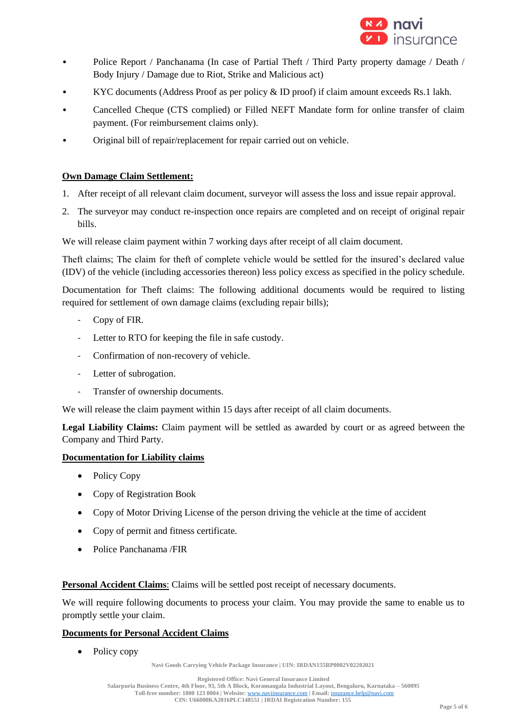

- Police Report / Panchanama (In case of Partial Theft / Third Party property damage / Death / Body Injury / Damage due to Riot, Strike and Malicious act)
- KYC documents (Address Proof as per policy & ID proof) if claim amount exceeds Rs.1 lakh.
- Cancelled Cheque (CTS complied) or Filled NEFT Mandate form for online transfer of claim payment. (For reimbursement claims only).
- Original bill of repair/replacement for repair carried out on vehicle.

## **Own Damage Claim Settlement:**

- 1. After receipt of all relevant claim document, surveyor will assess the loss and issue repair approval.
- 2. The surveyor may conduct re-inspection once repairs are completed and on receipt of original repair bills.

We will release claim payment within 7 working days after receipt of all claim document.

Theft claims; The claim for theft of complete vehicle would be settled for the insured's declared value (IDV) of the vehicle (including accessories thereon) less policy excess as specified in the policy schedule.

Documentation for Theft claims: The following additional documents would be required to listing required for settlement of own damage claims (excluding repair bills);

- Copy of FIR.
- Letter to RTO for keeping the file in safe custody.
- Confirmation of non-recovery of vehicle.
- Letter of subrogation.
- Transfer of ownership documents.

We will release the claim payment within 15 days after receipt of all claim documents.

**Legal Liability Claims:** Claim payment will be settled as awarded by court or as agreed between the Company and Third Party.

#### **Documentation for Liability claims**

- Policy Copy
- Copy of Registration Book
- Copy of Motor Driving License of the person driving the vehicle at the time of accident
- Copy of permit and fitness certificate.
- Police Panchanama /FIR

**Personal Accident Claims**: Claims will be settled post receipt of necessary documents.

We will require following documents to process your claim. You may provide the same to enable us to promptly settle your claim.

## **Documents for Personal Accident Claims**

Policy copy

**Navi Goods Carrying Vehicle Package Insurance | UIN: IRDAN155RP0002V02202021**